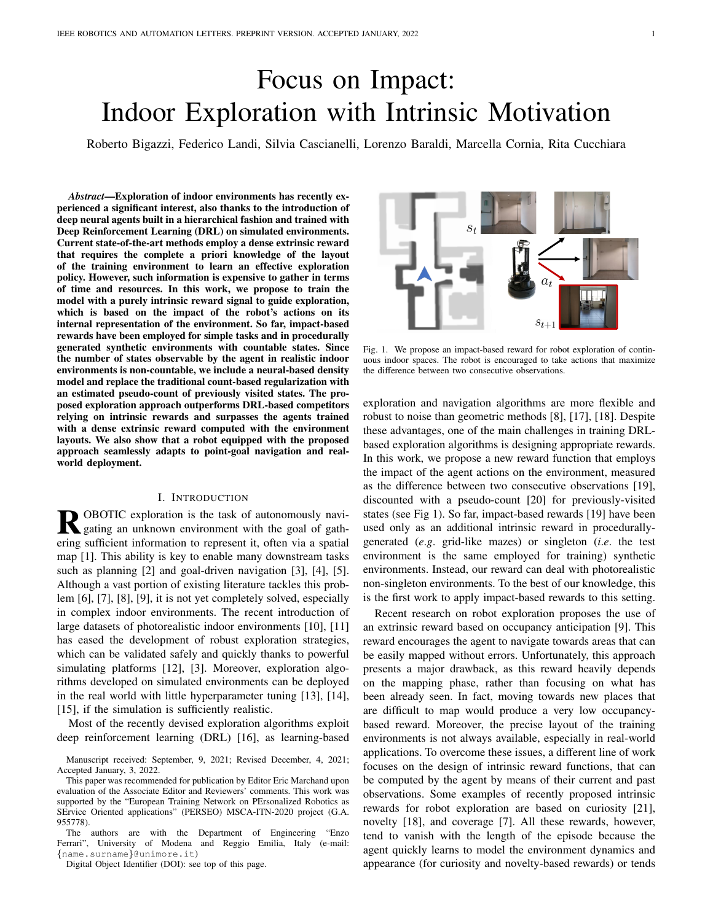# Focus on Impact: Indoor Exploration with Intrinsic Motivation

Roberto Bigazzi, Federico Landi, Silvia Cascianelli, Lorenzo Baraldi, Marcella Cornia, Rita Cucchiara

*Abstract*—Exploration of indoor environments has recently experienced a significant interest, also thanks to the introduction of deep neural agents built in a hierarchical fashion and trained with Deep Reinforcement Learning (DRL) on simulated environments. Current state-of-the-art methods employ a dense extrinsic reward that requires the complete a priori knowledge of the layout of the training environment to learn an effective exploration policy. However, such information is expensive to gather in terms of time and resources. In this work, we propose to train the model with a purely intrinsic reward signal to guide exploration, which is based on the impact of the robot's actions on its internal representation of the environment. So far, impact-based rewards have been employed for simple tasks and in procedurally generated synthetic environments with countable states. Since the number of states observable by the agent in realistic indoor environments is non-countable, we include a neural-based density model and replace the traditional count-based regularization with an estimated pseudo-count of previously visited states. The proposed exploration approach outperforms DRL-based competitors relying on intrinsic rewards and surpasses the agents trained with a dense extrinsic reward computed with the environment layouts. We also show that a robot equipped with the proposed approach seamlessly adapts to point-goal navigation and realworld deployment.

#### I. INTRODUCTION

**R** OBOTIC exploration is the task of autonomously navigating an unknown environment with the goal of gather gating an unknown environment with the goal of gathering sufficient information to represent it, often via a spatial map [1]. This ability is key to enable many downstream tasks such as planning [2] and goal-driven navigation [3], [4], [5]. Although a vast portion of existing literature tackles this problem [6], [7], [8], [9], it is not yet completely solved, especially in complex indoor environments. The recent introduction of large datasets of photorealistic indoor environments [10], [11] has eased the development of robust exploration strategies, which can be validated safely and quickly thanks to powerful simulating platforms [12], [3]. Moreover, exploration algorithms developed on simulated environments can be deployed in the real world with little hyperparameter tuning [13], [14], [15], if the simulation is sufficiently realistic.

Most of the recently devised exploration algorithms exploit deep reinforcement learning (DRL) [16], as learning-based

The authors are with the Department of Engineering "Enzo Ferrari", University of Modena and Reggio Emilia, Italy (e-mail: {name.surname}@unimore.it)

Digital Object Identifier (DOI): see top of this page.



Fig. 1. We propose an impact-based reward for robot exploration of continuous indoor spaces. The robot is encouraged to take actions that maximize the difference between two consecutive observations.

exploration and navigation algorithms are more flexible and robust to noise than geometric methods [8], [17], [18]. Despite these advantages, one of the main challenges in training DRLbased exploration algorithms is designing appropriate rewards. In this work, we propose a new reward function that employs the impact of the agent actions on the environment, measured as the difference between two consecutive observations [19], discounted with a pseudo-count [20] for previously-visited states (see Fig 1). So far, impact-based rewards [19] have been used only as an additional intrinsic reward in procedurallygenerated (*e*.*g*. grid-like mazes) or singleton (*i*.*e*. the test environment is the same employed for training) synthetic environments. Instead, our reward can deal with photorealistic non-singleton environments. To the best of our knowledge, this is the first work to apply impact-based rewards to this setting.

Recent research on robot exploration proposes the use of an extrinsic reward based on occupancy anticipation [9]. This reward encourages the agent to navigate towards areas that can be easily mapped without errors. Unfortunately, this approach presents a major drawback, as this reward heavily depends on the mapping phase, rather than focusing on what has been already seen. In fact, moving towards new places that are difficult to map would produce a very low occupancybased reward. Moreover, the precise layout of the training environments is not always available, especially in real-world applications. To overcome these issues, a different line of work focuses on the design of intrinsic reward functions, that can be computed by the agent by means of their current and past observations. Some examples of recently proposed intrinsic rewards for robot exploration are based on curiosity [21], novelty [18], and coverage [7]. All these rewards, however, tend to vanish with the length of the episode because the agent quickly learns to model the environment dynamics and appearance (for curiosity and novelty-based rewards) or tends

Manuscript received: September, 9, 2021; Revised December, 4, 2021; Accepted January, 3, 2022.

This paper was recommended for publication by Editor Eric Marchand upon evaluation of the Associate Editor and Reviewers' comments. This work was supported by the "European Training Network on PErsonalized Robotics as SErvice Oriented applications" (PERSEO) MSCA-ITN-2020 project (G.A. 955778).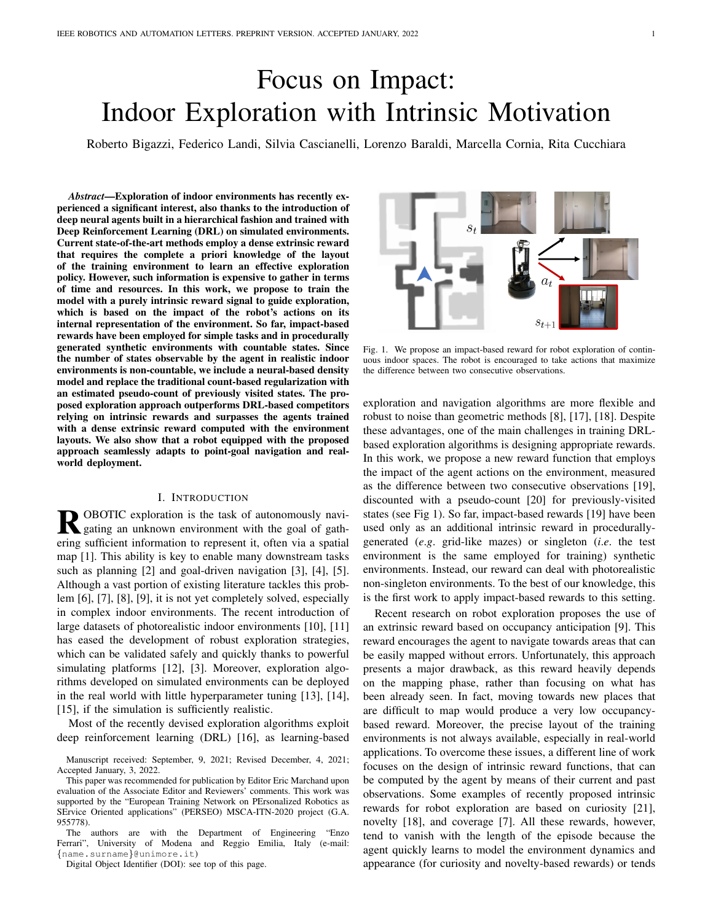to stay in previously-explored areas (for the coverage reward). Impact, instead, provides a stable reward signal throughout all the episode [19].

Since robot exploration takes place in complex and realistic environments that can present an infinite number of states, it is impossible to store a visitation count for every state. Furthermore, the vector of visitation counts would consist of a very sparse vector, and that would cause the agent to give the same impact score to nearly identical states. To overcome this issue, we introduce an additional module in our design to keep track of a pseudo-count for visited states. The pseudo-count is estimated by a density model trained end-to-end and together with the policy. We integrate our newly-proposed reward in a modular embodied exploration and navigation system inspired by that proposed by Chaplot *et al*. [7] and consider two commonly adopted collections of photorealistic simulated indoor environments, namely Gibson [11] and Matterport 3D (MP3D) [10]. Furthermore, we also deploy the devised algorithm in the real world. The results in both simulated and real environments are promising: we outperform state-of-theart baselines in simulated experiments and demonstrate the effectiveness of our approach in real-world experiments. We make the source code of our approach and pre-trained models publicly available<sup>1</sup>.

## II. RELATED WORK

Geometric Robot Exploration Methods. Classical heuristic and geometric-based exploration methods rely on two main strategies: frontier-based exploration [22] and next-best-view planning [23]. These methods have been largely used and improved [24], [25], [17] or combined in a hierarchical exploration algorithm [16], [2]. However, when applied with noisy odometry and localization sensors or in highly complex environments, geometric approaches tend to fail [8], [17], [18]. In light of this, increasing research effort has been dedicated to the development of learning-based approaches, which usually exploit DLR to learn robust and efficient exploration policies.

Intrinsic Exploration Rewards. The lack of ground-truth in the exploration task forces the adoption of reinforcement learning (RL) for training exploration methods. Even when applied to tasks different from robot exploration, RL methods have low sample efficiency. Thus, they require designing intrinsic reward functions that encourage visiting novel states or learning the environment dynamics. The use of intrinsic motivation is beneficial when external task-specific rewards are sparse or absent. Among the intrinsic rewards that motivate the exploration of novel states, Bellemare *et al*. [20] introduced the notion of pseudo visitation count by using a Context-Tree Switching (CTS) density model to extract a pseudo-count from raw pixels and applied count-based algorithms. Similarly, Ostrovski *et al*. [26] applied the autoregressive deep generative model PixelCNN [27] to estimate the pseudo-count of the visited state. Recently, Zhang *et al*. [28] proposed a criterion to mitigate common issues in count-based methods. Rewards that encourage the learning of the environment dynamics comprehend Curiosity [29], Random Network Distillation

(RND) [30], and Disagreement [31]. Recently, Raileanu *et al*. [19] proposed to jointly encourage both the visitation of novel states and the learning of the environment dynamics. However, their approach is developed for grid-like environments with a finite number of states, where the visitation count can be easily employed as a discount factor. In this work, we improve Impact, a paradigm that rewards the agent proportionally to the change in the state representation caused by its actions, and design a reward function that can deal with photorealistic scenes with non-countable states.

Learning-based Robot Exploration Methods. In the context of robot exploration and navigation tasks, the introduction of photorealistic simulators has represented a breeding ground for the development of self-supervised DRL-based visual exploration methods. Ramakrishnan *et al*. [18] identified four paradigms for visual exploration: novelty-based, curiositybased (as defined above), reconstruction-based, and coveragebased. Each paradigm is characterized by a different reward function used as a self-supervision signal for optimizing the exploration policy. A coverage-based reward, considering the area seen, is also used in the modular approach to Active SLAM presented in [7], which combines a neural mapper module with a hierarchical navigation policy. To enhance exploration efficiency in complex environments, Ramakrishnan *et al*. [9] resorted to an extrinsic reward by introducing the occupancy anticipation reward, which aims to maximize the agent accuracy in predicting occluded unseen areas.

Deep Generative Models. Deep generative models are trained to approximate high-dimensional probability distributions by means of a large set of training samples. In recent years, literature on deep generative models followed three main approaches: latent variable models like VAE [32], implicit generative models like GANs [33], and exact likelihood models. Exact likelihood models can be classified in nonautoregressive flow-based models, like RealNVP [34] and Flow++ [35], and autoregressive models, like PixelCNN [27] and Image Transformer [36]. Non-autoregressive flow-based models consist of a sequence of invertible transformation functions to compose a complex distribution modeling the training data. Autoregressive models decompose the joint distribution of images as a product of conditional probabilities of the single pixels. Usually, each pixel is computed using as input only the previous predicted ones, following a raster scan order. In this work, we employ PixelCNN [27] to learn a probability distribution over possible states and estimate a pseudo visitation count.

#### III. PROPOSED METHOD

## *A. Exploration Architecture*

Following the current state-of-the-art architectures for navigation for embodied agents [7], [9], the proposed method comprises three main components: a CNN-based mapper, a pose estimator, and a hierarchical navigation policy. The navigation policy defines the actions of the agent, the mapper builds a top-down map of the environment to be used for navigation, and the pose estimator locates the position of the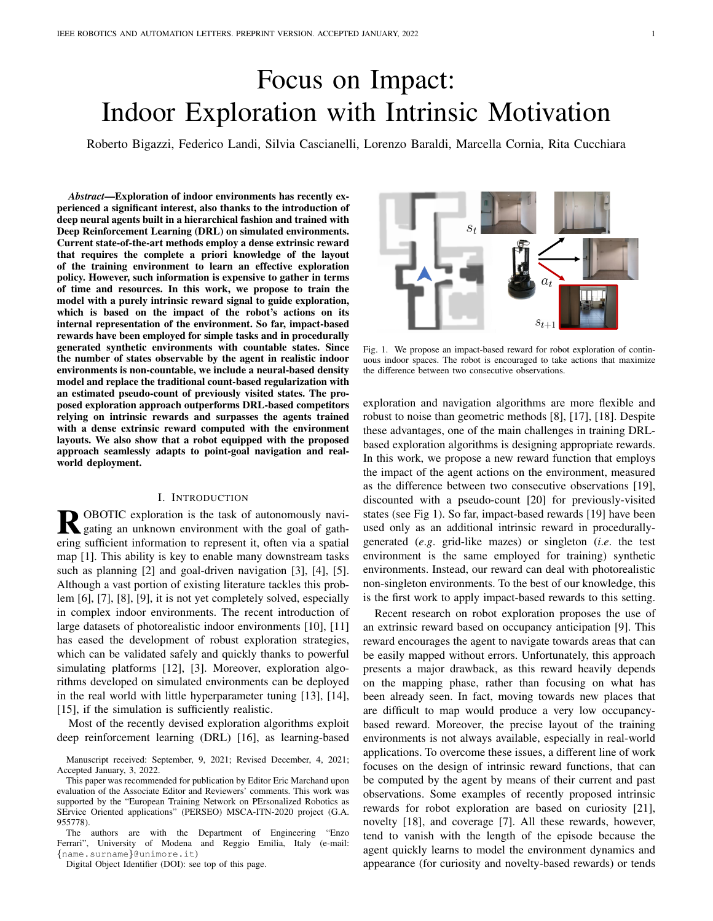

Fig. 2. Our modular exploration architecture consists of a Mapper that iteratively builds a top-down occupancy map of the environment, a Pose Estimator that predicts the pose of the robot at every step, and a hierarchical self-supervised Navigation Module in charge of sequentially setting exploration goals and predicting actions to navigate towards it. We exploit the impact-based reward to guide the exploration and adapt it for continuous environments, using an Observation Encoder to extract observation features and depending on the method, a Density Model or a Grid to compute the pseudo-count.

agent on the map. Our architecture is depicted in Fig. 2 and described below.

*1) Mapper:* The mapper generates a map of the free and occupied regions of the environment discovered during the exploration. At each time step, the RGB observation  $o_t^{rgb}$ and the depth observation  $o_t^d$  are processed to output a twochannel  $V \times V$  local map  $l_t$  depicting the area in front of the agent, where each cell describes the state of a  $5 \times 5$  cm area of the environment, the channels measure the probability of a cell being occupied and being explored, as in [7]. Please note that this module performs anticipation-based mapping, as defined in [9], where the predicted local map  $l_t$  includes also unseen/occluded portions of space. The local maps are aggregated and registered to the  $W \times W \times 2$  global map  $M_t$ of the environment using the estimated pose  $(x_t, y_t, \theta_t)$  from the pose estimator. The resulting global map is used by the navigation policy for action planning.

*2) Pose Estimator:* The pose estimator is used to predict the displacement of the agent in consequence of an action. The considered atomic actions  $a_t$  of the agent are: *go forward 0.25m, turn left 10°, turn right 10°*. However, the noise in the actuation system and the possible physical interactions between the agent and the environment could produce unexpected outcomes causing positioning errors. The pose estimator reduces the effect of such errors by predicting the real displacement ( $\Delta x_t$ ,  $\Delta y_t$ ,  $\Delta \theta_t$ ). According to [9], the input of this module consists of the RGB-D observations  $(\tilde{o}^{rgb}_{t}, o^{rgb}_{t})$  and  $(o^{d}_{t-1}, o^{d}_{t})$  and the local maps  $(l_{t-1}, l_{t})$ . Each modality  $i = 0, 1, 2$  is encoded singularly to obtain three different estimates of the displacement:

$$
g_i(e_{t-1}, e_t) = W_1 \max(W_2(e_{t-1}, e_t) + b_2, 0) + b_1,\tag{1}
$$

where  $e_t \in \{o_t^{rgb}, o_t^d, l_t\}$  and  $W_{1,2}$  and  $b_2$  are weights matrices and bias. Eventually, the displacement estimates are aggregated with a weighted sum:

$$
\alpha_i = \text{softmax}(\text{MLP}_i([\bar{o}_t^r, \bar{o}_t^d, \bar{l}_t])), \tag{2}
$$

$$
(\Delta x_t, \Delta y_t, \Delta \theta_t) = \sum_{i=0}^{2} \alpha_i \cdot g_i,
$$
 (3)

where MLP is a three-layered fully-connected network,  $(\bar{o}_t^r,$  $\bar{o}^d_t$ ,  $\bar{l}_t$ ) are the inputs encoded by a CNN, and  $[\cdot, \cdot, \cdot]$  denotes tensor concatenation. The estimated pose of the agent at time  $t$  is given by:

$$
(x_t, y_t, \theta_t) = (x_{t-1}, y_{t-1}, \theta_{t-1}) + (\Delta x_t, \Delta y_t, \Delta \theta_t). \tag{4}
$$

Note that, at the beginning of each exploration episode, the agent sets its position to the center of its environment representation, *i*.*e*.

$$
(x_0, y_0, \theta_0) = (0, 0, 0). \tag{5}
$$

*3) Navigation Module:* The sampling of the atomic actions of the agent relies on the hierarchical navigation policy that is composed of the following modules: the global policy, the planner, and the local policy.

The global policy samples a point on an augmented global map of the environment,  $M_t^+$ , that represents the current global goal of the agent. The augmented global map  $M_t^+$  is a  $W \times W \times 4$  map obtained by stacking the two-channel global map  $M_t$  from the Mapper with the one-hot representation of the agent position  $(x_t, y_t)$  and the map of the visited positions, which collects the one-hot representations of all the positions assumed by the agent from the beginning of the exploration. Moreover,  $M_t^+$  is in parallel cropped with respect to the position of the agent and max-pooled to a spatial dimension  $H \times H$  where  $H \times W$ . These two versions of the augmented global map are concatenated to form the  $H \times H \times 8$  input of the global policy that is used to sample a goal in the global action space  $H \times H$ . The global policy is trained with reinforcement learning with our proposed impact-based reward  $r_t^{global}$ , defined below, that encourages exploration.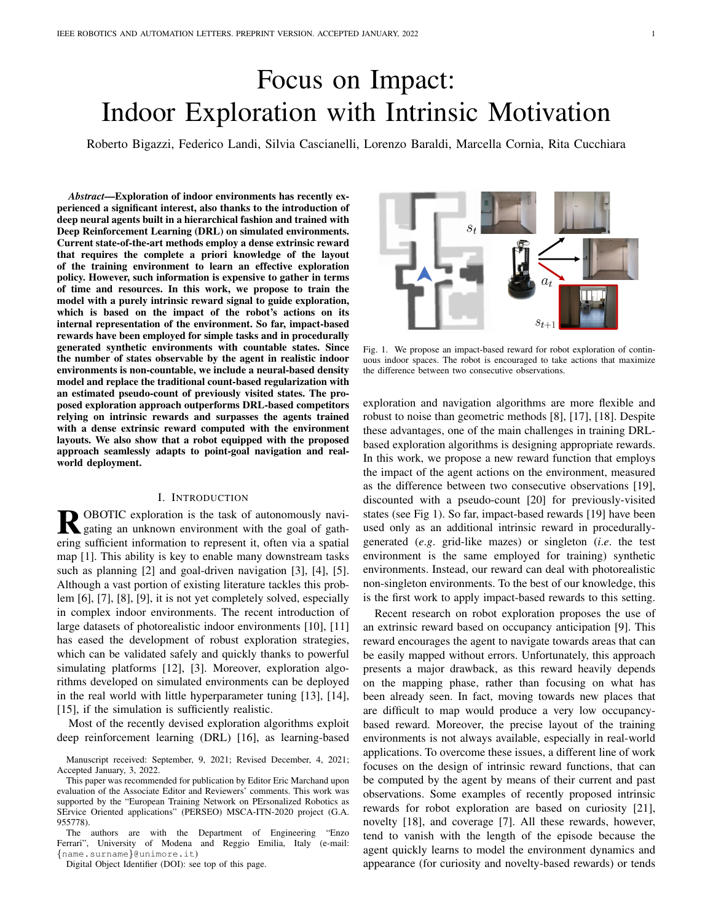The planner consists of an A\* algorithm. It uses the global map to plan a path towards the global goal and samples a local goal within 1.25m from the position of the agent.

The local policy outputs the atomic actions to reach the local goal and is trained to minimize the euclidean distance to the local goal, which is expressed via the following reward:

$$
r_t^{local}(s_t, s_{t+1}) = d(s_{t+1}) - d(s_t),
$$
\n(6)

where  $d(s_t)$  is the euclidean distance to the local goal at time step  $t$ . Note that the output actions in our setup are discrete. These platform-agnostic actions can be translated into signals for specific robots actuators, as we do in this work. Alternatively, based on the high-level predicted commands, continuous actions can be predicted, *e*.*g*. in the form of linear and angular velocity commands to the robot, by using an additional, lower-level policy, as done in [37]. The implementation of such policy is beyond the scope of our work.

Following the hierarchical structure, the global goal is reset every  $\eta$  steps, and the local goal is reset if at least one of the following conditions verifies: a new global goal is sampled, the agent reaches the local goal, the local goal location is discovered to be in a occupied area.

#### *B. Impact-Driven Exploration*

The exploration ability of the agent relies on the design of an appropriate reward for the global policy. In this setting, the lack of external rewards from the environment requires the design of a dense intrinsic reward. To the best of our knowledge, our proposed method presents the first implementation of impact-driven exploration in photorealistic environments. The key idea of this concept is encouraging the agent to perform actions that have impact on the environment and the observations retrieved from it, where the impact at time step  $t$  is measured as the  $l_2$ -norm of the encodings of two consecutive states  $\phi(s_t)$  and  $\phi(s_{t+1})$ , considering the RGB observation  $o_t^{rgb}$  as the state  $s_t$ . Following the formulation proposed in [19], the reward of the global policy for the proposed method is calculated as:

$$
r_t^{global}(s_t, s_{t+1}) = \frac{\|\phi(s_{t+1}) - \phi(s_t)\|_2}{\sqrt{N(s_{t+1})}},
$$
(7)

where  $N(s_t)$  is the visitation count of the state at time step t, *i.e.* how many times the agent has observed  $s_t$ . The visitation count is used to drive the agent out of regions already seen in order to avoid trajectory cycles. Note that the visitation count is episodic, *i.e.*  $N_{ep}(s_t) \equiv N(s_t)$ . For simplicity, in the following we denote the episodic visitation count as  $N(s_t)$ .

*1) Visitation Counts:* The concept of normalizing the reward using visitation count, as in [19], fails when the environment is continuous, since during exploration is unlikely to visit exactly the same state more than once. In fact, even microscopic changes in terms of translation or orientation of the agent cause shifts in the values of the RGB observation, thus resulting in new states. Therefore, using a photorealistic continuous environment nullifies the scaling property of the denominator of the global reward in Eq. 7 because every state  $s_t$  during the exploration episode is, most of the times, only encountered for the first time. To overcome this limitation, we implement two types of pseudo-visitation counts  $N(s_t)$ to be used in place of  $N(s_t)$ , which extend the properties of visitation counts to continuous environments: *Grid* and *Density Model Estimation*.

*Grid:* With this approach, we consider a virtual discretized grid of cells with fixed size in the environment. We then assign a visitation count to each cell of the grid. Note that, different from approaches working on procedurally-generated environments like [19], the state space of the environment we consider is continuous also in this formulation, and depends on the pose of the agent  $(x, y, \theta)$ . The grid approach operates a quantization of the agent's positions, and that allows to cluster observation made from similar positions. To this end, we take the global map of the environment and divide it into cells of size  $G \times G$ . The estimated pose of the agent, regardless of its orientation  $\theta_t$ , is used to select the cell that the agent occupies at time t. In the *Grid* formulation, the visitation count of the selected cell is used as  $N(s_t)$  in Eq. 7 and is formalized as:

$$
\hat{N}(s_t) = \hat{N}(g(x_t, y_t)),\tag{8}
$$

where  $q(\cdot)$  returns the block corresponding to the estimated position of the agent.

*Density Model Estimation (DME):* Let  $\rho$  be an autoregressive density model defined over the states  $s \in S$ , where S is the set of all possible states. We call  $\rho_n(s)$  the probability assigned by  $\rho$  to the state s after being trained on a sequence of states  $s_1, ..., s_n$ , and  $\rho_n^{\theta}(s)$ , or recoding probability [20], [26], the probability assigned by  $\rho$  to s after being trained on  $s_1, ..., s_n, s$ . The prediction gain PG of  $\rho$  describes how much the model has improved in the prediction of  $s$  after being trained on s itself, and is defined as

$$
PG_n(s) = \log \rho_n^{\theta}(s) - \log \rho_n(s). \tag{9}
$$

In this work, we employ a lightweight version of Gated PixelCNN [27] as density model. This model is trained from scratch along with the exploration policy using the states visited during the exploration, which are fed to PixelCNN one at a time, as they are encountered. The weights of PixelCNN are optimized continually over all the environments. As a consequence, the knowledge of the density model is not specific for a particular environment or episode. To compute the input of the PixelCNN model, we transform the RGB observation  $o_t^r$  to grayscale and we crop and resize it to a lower size  $P \times P$ . The transformed observation is quantized to  $B$  bins to form the final input to the model,  $s_t$ . The model is trained to predict the conditional probabilities of the pixels in the transformed input image, with each pixel depending only on the previous ones following a raster scan order. The output has shape  $P \times P \times B$  and each of its elements represents the probability of a pixel belonging to each of the  $B$  bins. The joint distribution of the input modeled by PixelCNN is:

$$
p(s_t) = \prod_1^{P^2} p(\chi_i | \chi_1, ..., \chi_{i-1}),
$$
 (10)

where  $\chi_i$  is the i<sup>th</sup> pixel of the image  $s_t$ .  $\rho$  is trained to fit  $p(s_t)$  by using the negative log-likelihood loss.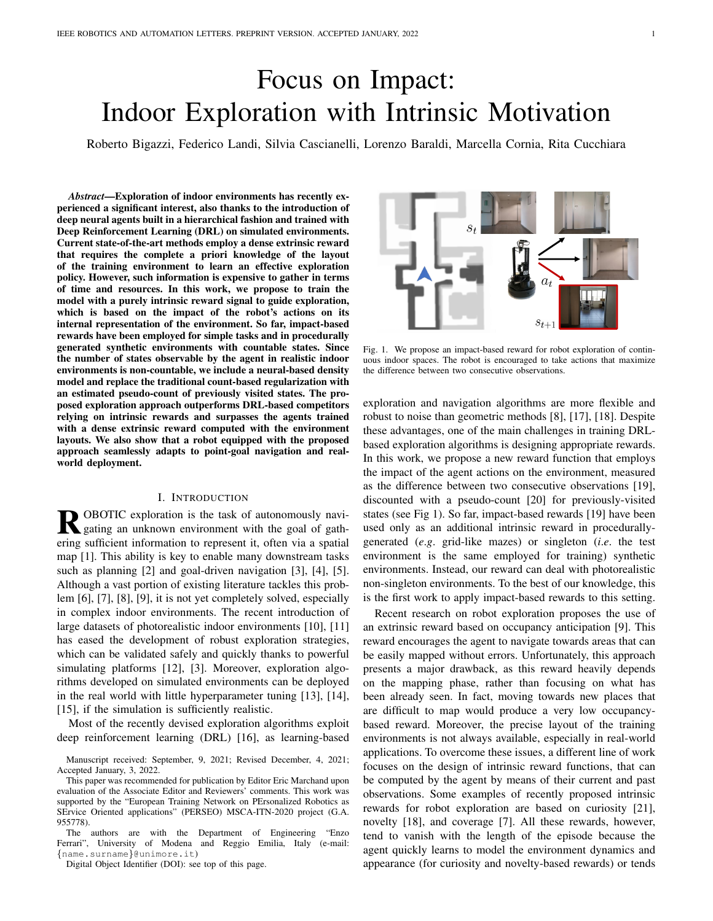Let  $\hat{n}$  be the pseudo-count total, *i.e.* the sum of all the visitation counts of all states during the episode. The probability and the recoding probability of  $s$  can be defined as:

$$
\rho_n(s) = \frac{\hat{N}_n(s)}{\hat{n}}, \qquad \rho_n^{\theta}(s) = \frac{\hat{N}_n(s) + 1}{\hat{n} + 1}.
$$
\n(11)

Note that, if  $\rho$  is learning-positive, *i.e.* if  $PG_n(s) > 0$  for all possible sequences  $s_1, ..., s_n$  and all  $s \in S$ , we can approximate  $N_n(s)$  as:

$$
\hat{N}_n(s) = \frac{\rho_n(s)(1 - \rho_n^{\theta}(s))}{\rho_n^{\theta}(s) - \rho_n(s)} \approx (e^{PG_n(s)} - 1)^{-1}.
$$
 (12)

To use this approximation in Eq. 7, we still need to address three problems: it does not scale with the length of the episode, the density model could be not learning-positive, and  $\hat{N}_n(s)$ should be large enough to avoid the reward becoming too large regardless the goal selection. In this respect, to take into account the length of the episode, we introduce a normalizing factor  $n^{-1/2}$ , where n is the number of steps done by the agent since the start of the episode. Moreover, to force  $\rho$  to be learning-positive, we clip  $PG_n(s)$  to 0 when it becomes negative. Finally, to avoid small values at the denominator of  $r_t^{global}$  (Eq. 7), we introduce a lower bound of 1 to the pseudo visitation count. The resulting definition of  $\hat{N}_n(s)$  in the *Density Model Estimation* formulation is:

$$
\widetilde{PG}_n = c \cdot n^{-1/2} \cdot (PG_n(s))_+, \tag{13}
$$

$$
\hat{N}_n(s) = \max\left\{ \left( e^{\widetilde{PG}_n(s)} - 1 \right)^{-1}, 1 \right\},\tag{14}
$$

where  $c$  is a term used to scale the prediction gain. It is worth noting that, unlike the Grid approach that can be applied only when  $s_t$  is representable as the robot location, the Density Model Estimation can be adapted to a wider range of tasks, including settings where the agent alters the environment.

## IV. EXPERIMENTAL SETUP

Datasets. For comparison with state-of-the-art DRL-based methods for embodied exploration, we employ the photorealistic simulated 3D environments contained in the Gibson dataset [11] and the MP3D dataset [10]. Both these datasets consist of indoor environments where different exploration episodes take place. In each episode, the robot starts exploring from a different point in the environment. Environments used during training do not appear in the validation/test split of these datasets. Gibson contains 106 scans of different indoor locations, for a total of around 5M exploration episodes (14 locations are used in 994 episodes for test in the so-called Gibson Val split). MP3D consists of 90 scans of large indoor environments (11 of those are used in 495 episodes for the validation split and 18 in 1008 episodes for the test split).

Evaluation Protocol. We train our models on the Gibson train split. Then, we perform model selection basing on the results obtained on Gibson Val. We then employ the MP3D validation and test splits to benchmark the generalization abilities of the agents. To evaluate exploration agents, we employ the following metrics. IoU between the reconstructed map and the ground-truth map of the environment: here we consider two different classes for every pixel in the map (free

TABLE I RESULTS FOR OUR MODEL SELECTION ON GIBSON VAL FOR  $T = 500$ .

| Model     |       |       | $IoU \uparrow$ FIoU $\uparrow$ OIoU $\uparrow$ Acc $\uparrow$ AS $\uparrow$ FAS $\uparrow$ OAS $\uparrow$ TE $\downarrow$ AE $\downarrow$ |             |       |       |       |             |       |
|-----------|-------|-------|-------------------------------------------------------------------------------------------------------------------------------------------|-------------|-------|-------|-------|-------------|-------|
| Grid      |       |       |                                                                                                                                           |             |       |       |       |             |       |
| $G = 2$   | 0.726 | 0.721 | 0.730                                                                                                                                     | 5141        | 61.88 | 34.17 | 27.71 | 0.240 4.450 |       |
| $G = 4$   | 0.796 | 0.792 | 0.801                                                                                                                                     | 54.34       | 61.17 | 33.74 | 27.42 | 0.079       | 1.055 |
| $G = 5$   | 0.806 | 0.801 | 0.813                                                                                                                                     | 55.21       | 62.17 | 34.31 | 27.87 | 0.077 0.881 |       |
| $G = 10$  | 0.789 | 0.784 | 0.794                                                                                                                                     | 54.26 61.67 |       | 34.06 | 27.61 | 0.111       | 1434  |
| DME       |       |       |                                                                                                                                           |             |       |       |       |             |       |
| $B = 64$  | 0.773 | 0.768 | 0.778                                                                                                                                     | 53.58       | 61.00 | 33.79 | 27.21 | 0.131 2.501 |       |
| $B = 128$ | 0.796 | 0.794 | 0.799                                                                                                                                     | 54.73       | 62.07 | 34.27 | 27.79 | 0.095       | 1.184 |
| $B = 256$ | 0.685 | 0.676 | 0.695                                                                                                                                     | 49.27       | 61.40 | 33.95 | 2745  | 0.311       | 6.817 |

or occupied). Similarly, the map accuracy (Acc, expressed in  $m<sup>2</sup>$ ) is the portion of the map that has been correctly mapped by the agent. The area seen  $(AS, in m<sup>2</sup>)$  is the total area of the environment observed by the agent. For both the IoU and the area seen, we also present the results relative to the two different classes: free space and occupied space respectively (FIoU, OIoU, FAS, OAS). Finally, we report the mean positioning error achieved by the agent at the end of the episode. A larger translation error (TE, expressed in  $m$ ) or angular error (AE, in degrees) indicates that the agent struggles to keep a correct estimate of its position throughout the episode. For all the metrics, we consider episodes of length  $T = 500$  and  $T = 1000$  steps.

For our comparisons, we consider five baselines trained with different rewards. *Curiosity* employs a surprisal-based intrinsic reward as defined in [29]. *Coverage* and *Anticipation* are trained with the corresponding coverage-based and accuracybased rewards defined in [9]. For completeness, we include two count-based baselines, obtained using the reward defined in Eq. 7, but ignoring the contribution of impact (*i*.*e*.setting the numerator to a constant value of 1). These are *Count (Grid)* and *Count (DME)*. All the baselines share the same overall architecture and training setup of our main models.

Implementation Details. The experiments are performed using the Habitat Simulator [3] with observations of the agent set to be  $128 \times 128$  RGB-D images and episode length during training set to  $T = 500$ . Each model is trained with the training split of the Gibson dataset [11] with 40 environments in parallel for  $\approx 5$ M frames.

*Navigation Module:* The reinforcement learning algorithm used to train the global and local policies is PPO [38] with Adam optimizer and a learning rate of  $2.5 \times 10^{-4}$ . The global goal is reset every  $\eta = 25$  time steps and the global action space hyperparameter  $H$  is 240. The local policy is updated every  $\eta$  steps and the global policy is updated every  $20\eta$  steps. *Mapper and Pose Estimator:* These models are trained with a learning rate of  $10^{-3}$  with Adam optimizer, the local map size is set with  $V = 101$  while the global map size is  $W = 961$  for episodes in the Gibson dataset and  $W = 2001$  in the MP3D dataset. Both models are updated every  $4\eta$  time steps, where  $\eta$  is the reset interval of the global policy.

*Density Model:* The model used for density estimation is a lightweight version of Gated PixelCNN [27] consisting of a  $7\times7$  masked convolution followed by two residual blocks with  $1 \times 1$  masked convolutions with 16 output channels, a  $1 \times 1$ masked convolutional layer with 16 output channels, and a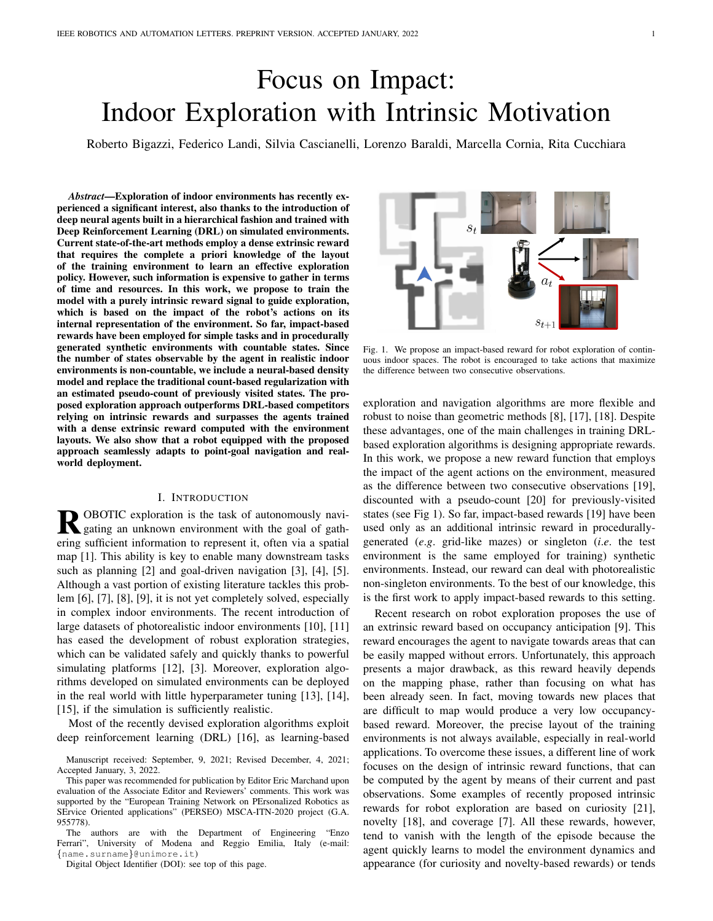TABLE II EXPLORATION RESULTS ON GIBSON VAL, MP3D VAL, AND MP3D TEST, AT DIFFERENT EPISODE MAXIMUM LENGTH.

|                                       | Gibson Val $(T = 500)$  |                         |                                                               |                         |                                            |                         | Gibson Val $(T = 1000)$                                                     |                                           |                            |                         |                                |                                                               |                         |                                                                      |                              |                                                             |                         |                                       |
|---------------------------------------|-------------------------|-------------------------|---------------------------------------------------------------|-------------------------|--------------------------------------------|-------------------------|-----------------------------------------------------------------------------|-------------------------------------------|----------------------------|-------------------------|--------------------------------|---------------------------------------------------------------|-------------------------|----------------------------------------------------------------------|------------------------------|-------------------------------------------------------------|-------------------------|---------------------------------------|
| Model                                 |                         |                         | $IoU \uparrow$ FIoU $\uparrow$ OIoU $\uparrow$ Acc $\uparrow$ |                         |                                            |                         | AS $\uparrow$ FAS $\uparrow$ OAS $\uparrow$ TE $\downarrow$ AE $\downarrow$ |                                           |                            |                         |                                | $IoU \uparrow$ FIoU $\uparrow$ OIoU $\uparrow$ Acc $\uparrow$ |                         |                                                                      | $AS \uparrow$ FAS $\uparrow$ | OAS $\uparrow$ TE $\downarrow$ AE $\downarrow$              |                         |                                       |
| Curiosity<br>Coverage<br>Anticipation | 0.678<br>0.721<br>0.783 | 0.669<br>0.715<br>0.778 | 0.688<br>0.726<br>0.789                                       | 49.35<br>51.47<br>54.68 | 61.67<br>61.13<br>60.96                    | 34.16<br>34.07<br>34.15 | 27.51<br>27.06<br>26.81                                                     | 0.330<br>0.272 5.508<br>0.100             | 7.430<br>1.112             | 0.560<br>0.653<br>0.773 | 0.539<br>0.641<br>0.763        | 0.581<br>0.664<br>0.782                                       | 45.71<br>50.10<br>56.37 | 67.64<br>66.15<br>66.61                                              | 37.19<br>36.77<br>37.17      | 30.45<br>29.38<br>29.44                                     | 0.155                   | 0.682 14.862<br>0.492 10.796<br>1.876 |
| Count (Grid)<br>Count (DME)           | 0.714<br>0.764          | 0.706<br>0.757          | 0.721<br>0.772                                                | 50.85<br>52.81          | 61.61<br>60.69                             | 34.17<br>33.68          | 27.44<br>27.01                                                              |                                           | 0.258 5.476<br>0.148 2.888 | 0.608<br>0.708          | 0.592<br>0.694                 | 0.624<br>0.722                                                | 48.22<br>52.67          | 67.80<br>66.91                                                       | 37.31<br>36.81               | 30.50<br>30.12                                              |                         | 0.520 10.996<br>0.282 5.802           |
| Impact (Grid)<br>Impact (DME)         | 0.803<br>0.800          | 0.797<br>0.796          | 0.809<br>0.803                                                | 54.94<br>55.10          | 61.90<br>62.59                             | 34.07<br>34.45          | 27.83<br>28.14                                                              | 0.079 0.878<br>0.095 1.166                |                            | 0.802<br>0.789          | 0.793<br>0.783                 | 0.811<br>0.796                                                | 57.21<br>56.77          | 67.74<br>68.34                                                       | 37.04<br>37.42               | 30.69<br>30.92                                              | 0.119<br>0.154          | 1.358<br>1.958                        |
|                                       | MP3D Val $(T = 500)$    |                         |                                                               |                         |                                            |                         | MP3D Val $(T = 1000)$                                                       |                                           |                            |                         |                                |                                                               |                         |                                                                      |                              |                                                             |                         |                                       |
| Model                                 | $IoU$ $\uparrow$        | <b>FIoU</b> $\uparrow$  | OIoU $\uparrow$                                               | Acc $\uparrow$          | $AS \uparrow$                              | <b>FAS</b> $\uparrow$   | OAS $\uparrow$ TE $\downarrow$ AE $\downarrow$                              |                                           |                            |                         | $IoU \uparrow$ FIoU $\uparrow$ | OIoU $\uparrow$ Acc $\uparrow$                                |                         | AS $\uparrow$                                                        | $\mathbf{FAS} \uparrow$      | $OAS \uparrow TE \downarrow AE \downarrow$                  |                         |                                       |
| Curiosity<br>Coverage<br>Anticipation | 0.339<br>0.352<br>0.381 | 0.473<br>0.494<br>0.530 | 0.205<br>0.210<br>0.231                                       | 97.82<br>102.05         | 118.13<br>120.00<br>106.02 114.06          | 75.73<br>76.78<br>72.94 | 42.40<br>43.21<br>41.13                                                     | 0.504 5.822<br>0.151 1.280                | 0.566 7.290                | 0.336<br>0.362<br>0.420 | 0.449<br>0.492<br>0.568        | 0.223<br>0.232<br>0.272                                       | 109.79                  | 157.27 100.07<br>116.58 158.83 100.76<br>126.86 147.33               | 93.56                        | 57.20<br>58.07<br>53.78                                     | 1.322<br>1.072<br>0.267 | 14.540<br>11.624<br>2.436             |
| Count (Grid)<br>Count (DME)           | 0.347<br>0.359          | 0.488<br>0.493          | 0.206<br>0.225                                                | 99.00                   | 116.77<br>101.73 112.65                    | 75.00<br>72.22          | 41.76<br>40.43                                                              | 0.466 5.828<br>0.268 3.318                |                            | 0.350<br>0.379          | 0.474<br>0.505                 | 0.226<br>0.254                                                |                         | 112.75 157.13 100.03<br>119.07 149.62                                | 95.16                        | 57.10<br>54.46                                              | 0.590                   | 1.074 11.686<br>6.544                 |
| Impact (Grid)<br>Impact (DME)         | 0.383<br>0.396          | 0.531<br>0.560          | 0.234<br>0.233                                                |                         | 107.41 116.60 74.44<br>111.61 124.06 79.47 |                         | 42.17<br>44.59                                                              | 0.120<br>0.232 1.988                      | 0.860                      | 0.440<br>0.427          | 0.595<br>0.587                 | 0.285<br>0.268                                                | 133.27                  | 133.97 157.19<br>166.20 105.69                                       | 99.61                        | 57.58<br>60.50                                              | 0.202<br>0.461          | 1.294<br>3.654                        |
|                                       | MP3D Test $(T = 500)$   |                         |                                                               |                         |                                            |                         | MP3D Test $(T = 1000)$                                                      |                                           |                            |                         |                                |                                                               |                         |                                                                      |                              |                                                             |                         |                                       |
| Model                                 |                         |                         | $IoU \uparrow$ FIoU $\uparrow$ OIoU $\uparrow$ Acc $\uparrow$ |                         |                                            |                         | AS $\uparrow$ FAS $\uparrow$ OAS $\uparrow$ TE $\downarrow$ AE $\downarrow$ |                                           |                            |                         | $IoU \uparrow$ FIoU $\uparrow$ | OIoU $\uparrow$ Acc $\uparrow$                                |                         |                                                                      |                              | $AS \uparrow$ FAS $\uparrow$ OAS $\uparrow$ TE $\downarrow$ |                         | AE J                                  |
| Curiosity<br>Coverage<br>Anticipation | 0.362<br>0.390<br>0.424 | 0.372<br>0.401<br>0.433 | 0.352<br>0.379<br>0.415                                       | 116.71                  | 109.66 130.48<br>134.89<br>117.87 124.24   | 85.98<br>88.15<br>81.31 | 44.50<br>46.75<br>42.93                                                     | 0.620 7.482<br>0.564 5.938<br>0.151 1.306 |                            | 0.361<br>0.409<br>0.484 | 0.365<br>0.418<br>0.491        | 0.357<br>0.399<br>0.478                                       |                         | 130.10 185.36 121.65<br>142.86 193.20 126.21<br>153.83 174.76 114.29 |                              | 63.71<br>66.99<br>60.47                                     | 0.289                   | 1.520 14.992<br>1.240 11.814<br>2.356 |
| Count (Grid)<br>Count (DME)           | 0.364<br>0.391          | 0.381<br>0.397          | 0.348<br>0.385                                                |                         | 117.50 134.85<br>114.02 123.86             | 89.81<br>81.86          | 45.05<br>42.00                                                              | 0.525 5.790<br>0.287 3.322                |                            | 0.377<br>0.418          | 0.391<br>0.419                 | 0.363<br>0.418                                                |                         | 144.26 194.76 129.22<br>140.21 172.44 113.25                         |                              | 65.53<br>59.19                                              | 0.657                   | 1.246 11.608<br>6.572                 |
| Impact (Grid)<br>Impact (DME)         | 0.420<br>0.426          | 0.430<br>0.444          | 0.409<br>0.409                                                |                         | 124.44 130.98<br>133.51 144.64 95.70       | 86.08                   | 44.90<br>48.94                                                              | 0.124<br>0.288 2.312                      | 0.834                      | 0.502<br>0.481          | 0.510<br>0.498                 | 0.494<br>0.464                                                |                         | 168.55 190.03 124.44                                                 | 174.18 212.00 140.10         | 65.60<br>71.90                                              | 0.218<br>0.637          | 1.270<br>4.390                        |

final  $1 \times 1$  masked convolution that returns the output logits with shape  $P \times P \times B$ , where B is the number of bins used to quantize the model input. We set  $P = 42$  for the resolution of the input and the output of the density model, and  $c = 0.1$ for the prediction gain scale factor.

#### V. EXPERIMENTAL RESULTS

Exploration Results. As a first step, we perform model selection using the results on the Gibson Val split (Table I). Our agents have different hyperparameters that depend on the implementation for the pseudo-counts. When our model employs grid-based pseudo-counts, it is important to determine the dimension of a single cell in this grid-based structure. In our experiments, we test the effects of using  $G \times G$ squared cells, with  $G \in \{2, 4, 5, 10\}$ . The best results are obtained with  $G = 5$ , with small differences among the various setups. When using pseudo-counts based on a density model, the most relevant hyperparameters depend on the particular model employed as density estimator. In our case, we need to determine the number of bins B for PixelCNN, with  $B \in \{64, 128, 256\}$ . We find out that the best results are achieved with  $B = 128$ .

In Table II, we compare the Impact (Grid) and Impact (DME) agents with the baseline agents previously described on the considered datasets. For each model and each split, we test 5 different random seeds and report the mean result for each metric. For the sake of readability, we do not report the standard deviations for the different runs, which we quantify in around 1.2% of the mean value reported. As it can be seen, results achieved by the two proposed impact-based agents are constantly better than those obtained by the competitors, both for  $T = 500$  and  $T = 1000$ . It is worth noting that our intrinsic impact-based reward outperforms strong extrinsic rewards that exploit information computed using the ground-truth layout of the environment. Moreover, the different implementations chosen for the pseudo-counts affect final performance, with Impact (DME) bringing the best results in terms of AS and Impact (Grid) in terms of IoU metrics. From the results it also emerges that, although the proposed implementations for the pseudo-count in Eq. 7 lead to comparable results in small environments as those contained in Gibson and MP3D Val, the advantage of using DME is more evident in large, complex environments as those in MP3D Test.

In Fig. 3, we report some qualitative results displaying the trajectories and the area seen by different agents in the same episode. Also from a qualitative point of view, the benefit given by the proposed reward in terms of exploration trajectories and explored areas is easy to identify.

PointGoal Navigation. One of the main advantages of training deep modular agents for embodied exploration is that they easily adapt to perform downstream tasks, such as PointGoal navigation [3]. Recent literature [7], [9] has discovered that hierarchical agents trained for exploration are competitive with state-of-the-art architecture tailored for PointGoal navigation and trained with strong supervision for 2.5 billion frames [4]. Additionally, the training time and data required to learn the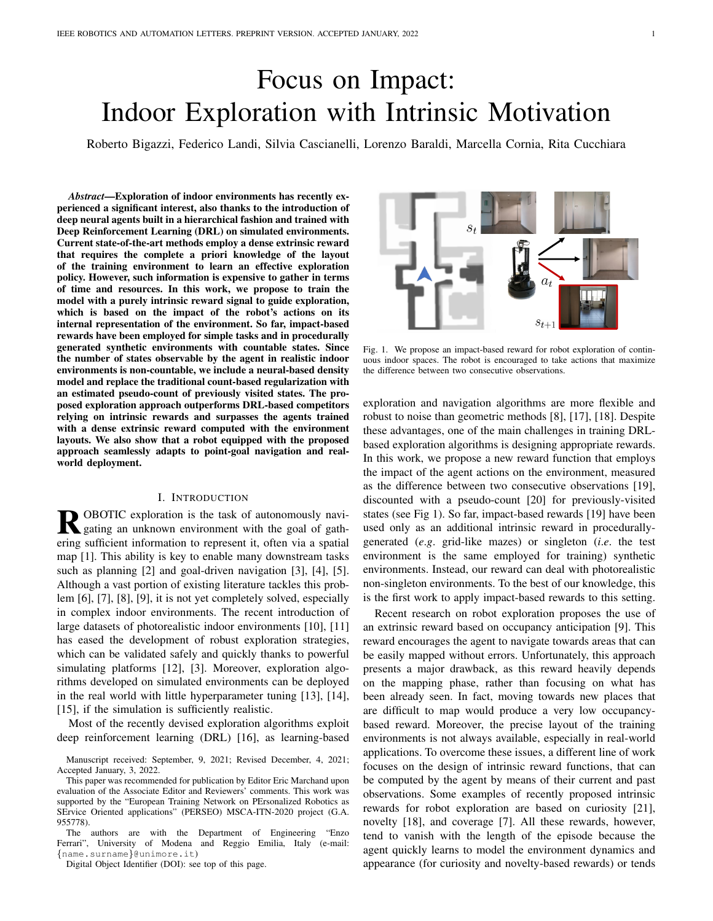

Fig. 3. Qualitative results. For each model, we report three exploration episodes on Gibson and MP3D datasets for  $T = 500$ .

| TABLE III                                                    |
|--------------------------------------------------------------|
| POINTGOAL NAVIGATION RESULTS ON THE VALIDATION SUBSET OF THE |
| GIBSON DATASET. UNDERLINED DENOTES SECOND BEST.              |
|                                                              |

|                           |       |       | <b>Noise-free Pose Sensor</b> |                         | <b>Noisy Pose Sensor</b> |       |       |                                                         |  |  |
|---------------------------|-------|-------|-------------------------------|-------------------------|--------------------------|-------|-------|---------------------------------------------------------|--|--|
| Model                     |       |       |                               | D2G ↓ SR ↑ SPL ↑ sSPL ↑ |                          |       |       | $D2G \downarrow SR \uparrow SPL \uparrow sSPL \uparrow$ |  |  |
| <b>ANS</b> [7]            |       | 0.950 | 0.846                         |                         |                          |       |       |                                                         |  |  |
| OccAnt [9]                |       | 0.930 | 0.800                         |                         |                          |       |       | -                                                       |  |  |
| OccAnt $[9]$ <sup>2</sup> |       | -     | 0.911                         |                         |                          |       |       |                                                         |  |  |
| Curiosity                 | 0.238 | 0.970 | 0.914                         | 0.899                   | 0.302                    | 0.861 | 0.822 | 0.890                                                   |  |  |
| Coverage                  | 0.240 | 0.970 | 0.909                         | 0.895                   | 0.288                    | 0.827 | 0.788 | 0.886                                                   |  |  |
| Anticipation              | 0.285 | 0.965 | 0.906                         | 0.892                   | 0.309                    | 0.885 | 0.835 | 0.884                                                   |  |  |
| Impact (Grid)             | 0.252 | 0.969 | 0.908                         | 0.894                   | 0.226                    | 0.923 | 0.867 | 0.893                                                   |  |  |
| Impact (DME)              | 0.264 | 0.967 | 0.907                         | 0.895                   | 0.276                    | 0.913 | 0.859 | 0.893                                                   |  |  |
| $DD-PPO$ [4]              |       | 0.967 | 0.922                         |                         |                          |       |       |                                                         |  |  |

policy is much more limited (2 to 3 orders of magnitude smaller). In Table III, we report the results obtained using two different settings. The *noise-free pose sensor* setting is the standard benchmark for PointGoal navigation in Habitat [3]. In the *noisy pose sensor* setting, instead, the pose sensor readings are noisy, and thus the agent position must be estimated as the episode progresses. We consider four main metrics: the average distance to the goal achieved by the agent (D2G) and three success-related metrics. The success rate (SR) is the fraction of episodes terminated within 0.2 meters from the goal, while the SPL and SoftSPL (sSPL) weigh the distance from the goal with the length of the path taken by the agent in order to penalize inefficient navigation. As it can be seen, the two proposed agents outperform the main competitors from the literature: Active Neural Slam (ANS) [7] and OccAnt [9] (for which we report both the results from the paper and the official code release).

When comparing with our baselines in the noise-free setting, the overall architecture design allows for high-performance results, as the reward influences map estimation only marginally. In fact, in this setting, the global policy and the pose estimation module are not used, as the global goal coincides with the episode goal coordinates, and the agent receives oracle position information. Thus, good results mainly depend on the effectiveness of the mapping module. Instead, in the noisy setting, the effectiveness of the reward used during training influences navigation performance more significantly. In this case, better numerical results originate from a better ability to estimate the precise pose of the agent during the episode. For completeness, we also compare with the results achieved by DD-PPO [4], a method trained with reinforcement learning for the PointGoal task on 2.5 billion frames, 500 times more than the frames used to train our agents.

Real-world Deployment. As agents trained in realistic indoor environments using the Habitat simulator are adaptable to realworld deployment [13], [14], we also deploy the proposed approach on a LoCoBot robot<sup>3</sup>. We employ the PyRobot interface [39] to deploy code and trained models on the robot. To enable the adaptation to the real-world environment, there are some aspects that must be taken into account during training. As a first step, we adjust the simulation in order to reproduce realistic actuation and sensor noise. To that end, we adopt the noise model proposed in [7] based on Gaussian Mixture Models fitting real-world noise data acquired from a LoCoBot. Additionally, we modify the parameters of the RGB-D sensor used in simulation to match those of the RealSense camera mounted on the robot. Specifically, we change the camera resolution and field of view, the range of depth information, and the camera height. Finally, it is imperative to prevent the agent from learning simulation-specific shortcuts and tricks. For instance, the agent may learn to slide along the walls due to imperfect dynamics in simulation [13]. To prevent the learning of such dynamics, we employ the *bump* sensor provided by Habitat and block the agent whenever it is in contact with an obstacle. When deployed in the real world, our agent is able to explore the environment without getting stuck or bumping into obstacles. In the video accompanying the submission, we report exploration samples taken from our real-world deployment.